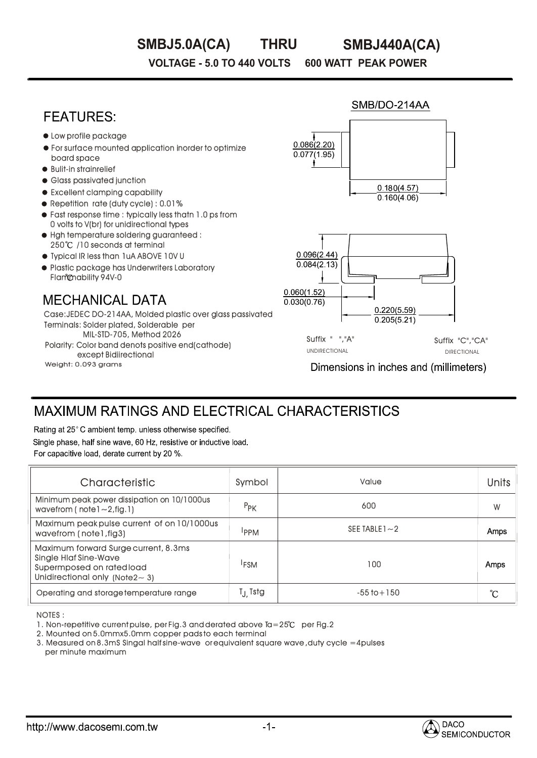#### **THRU SMBJ5.0A(CA) SMBJ440A(CA)**

SMB/DO-214AA

**VOLTAGE - 5.0 TO 440 VOLTS 600 WATT PEAK POWER** 

# **FEATURES**

- Low profile package
- For surface mounted application inorder to optimize board space
- Bulit-in strainrelief
- **Glass passivated junction**
- Excellent clamping capability
- Repetition rate (duty cycle) : 0.01%
- Fast response time : typically less thatn 1.0 ps from 0 volts to V(br) for unidirectional types
- $\bullet$  Hah temperature soldering guaranteed : 250℃ /10 seconds at terminal
- Typical IR less than 1uA ABOVE 10V U
- **Plastic package has Underwriters Laboratory** Flammability 94V-0

## **MECHANICAL DATA**

Weight: 0.093 grams Terminals: Solder plated, Solderable per MIL-STD-705, Method 2026 Case:JEDEC DO-214AA, Molded plastic over glass passivated Polarity: Color band denots positive end(cathode) except Bidiirectional



Dimensions in inches and (millimeters)

# MAXIMUM RATINGS AND ELECTRICAL CHARACTERISTICS

Rating at 25°C ambient temp, unless otherwise specified. Single phase, half sine wave, 60 Hz, resistive or inductive load. For capacitive load, derate current by 20 %.

| Characteristic                                                                                                                              | Symbol               | Value             | <b>Units</b> |
|---------------------------------------------------------------------------------------------------------------------------------------------|----------------------|-------------------|--------------|
| Minimum peak power dissipation on 10/1000us<br>wavefrom ( $notel \sim 2$ , fig. 1)                                                          | $P_{PK}$             | 600               | W            |
| Maximum peak pulse current of on 10/1000us<br>wavefrom (note l, fig3)                                                                       | <b>IPPM</b>          | SEE TABLE $1 - 2$ | Amps         |
| Maximum forward Surge current, 8.3ms<br><b>Single Hlaf Sine-Wave</b><br>Supermposed on rated load<br>Unidirectional only (Note $2 \sim 3$ ) | <sup>1</sup> FSM     | 100               | Amps         |
| Operating and storage temperature range                                                                                                     | T <sub>J,</sub> Tstg | $-55$ to $+150$   | °C           |

NOTES : :

1. Non-repetitive current pulse, per Fig.3 and derated above Ta=25°C per Fig.2

2. Mounted on 5.0mmx5.0mm copper pads to each terminal

3. Measured on 8.3mS Singal half sine-wave or equivalent square wave ,duty cycle =4pulses =4pulses per minute maximum

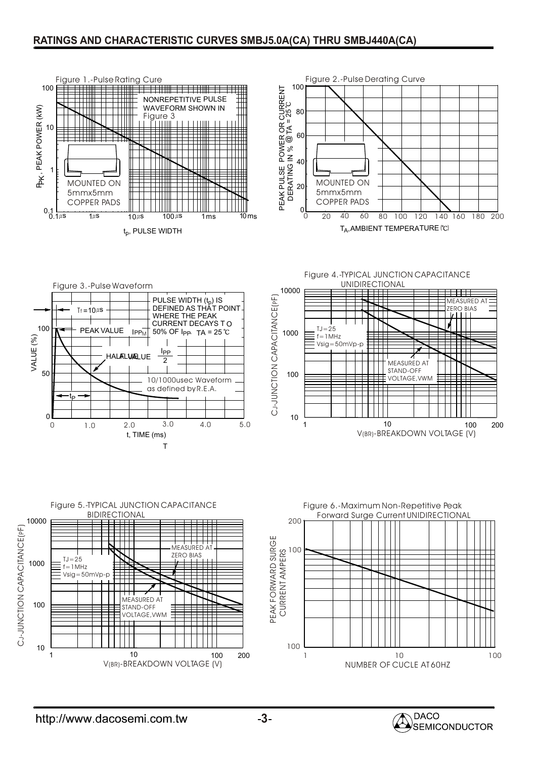### **RATINGS AND CHARACTERISTIC CURVES SMBJ5.0A(CA) THRU SMBJ440A(CA)**











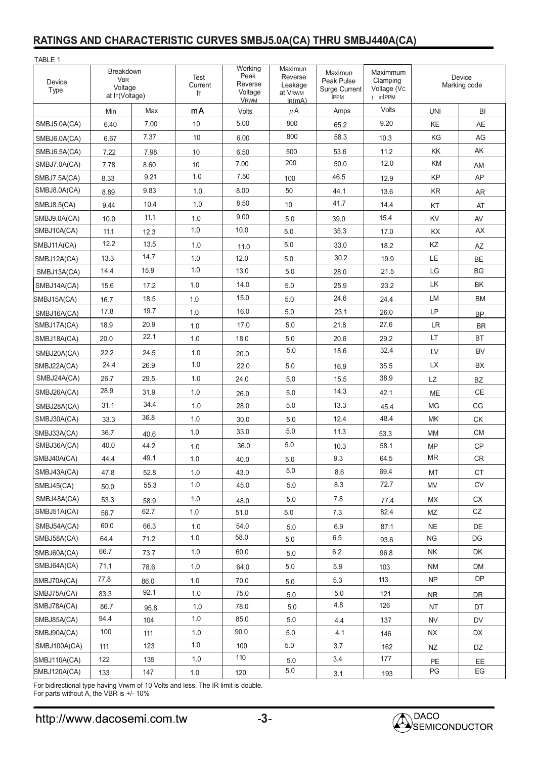### **RATINGS AND CHARACTERISTIC CURVES SMBJ5.0A(CA) THRU SMBJ440A(CA)**

| TABLE 1        |                                                      |      |                        |                                                      |                                                                             |                                                              |                                                            |                        |                        |
|----------------|------------------------------------------------------|------|------------------------|------------------------------------------------------|-----------------------------------------------------------------------------|--------------------------------------------------------------|------------------------------------------------------------|------------------------|------------------------|
| Device<br>Type | Breakdown<br><b>VBR</b><br>Voltage<br>at IT(Voltage) |      | Test<br>Current<br>IT. | Working<br>Peak<br>Reverse<br>Voltage<br><b>VRWM</b> | Maximun<br>Reverse<br>Leakage<br>at V <sub>RWM</sub><br>I <sub>R</sub> (mA) | Maximun<br>Peak Pulse<br><b>Surge Current</b><br><b>IPPM</b> | Maximmum<br>Clamping<br>Voltage (Vc<br>atlPPM<br>$\lambda$ | Device<br>Marking code |                        |
|                | Min                                                  | Max  | mA                     | Volts                                                | $\mu$ A                                                                     | Amps                                                         | Volts                                                      | <b>UNI</b>             | BI                     |
| SMBJ5.0A(CA)   | 6.40                                                 | 7.00 | 10                     | 5.00                                                 | 800                                                                         | 65.2                                                         | 9.20                                                       | KE                     | <b>AE</b>              |
| SMBJ6.0A(CA)   | 6.67                                                 | 7.37 | 10                     | 6.00                                                 | 800                                                                         | 58.3                                                         | 10.3                                                       | KG                     | AG                     |
| SMBJ6.5A(CA)   | 7.22                                                 | 7.98 | 10                     | 6.50                                                 | 500                                                                         | 53.6                                                         | 11.2                                                       | KK                     | AK                     |
| SMBJ7.0A(CA)   | 7.78                                                 | 8.60 | 10                     | 7.00                                                 | 200                                                                         | 50.0                                                         | 12.0                                                       | KM                     | AM                     |
| SMBJ7.5A(CA)   | 8.33                                                 | 9.21 | 1.0                    | 7.50                                                 | 100                                                                         | 46.5                                                         | 12.9                                                       | KP                     | AP                     |
| SMBJ8.0A(CA)   | 8.89                                                 | 9.83 | 1.0                    | 8.00                                                 | 50                                                                          | 44.1                                                         | 13.6                                                       | KR                     | <b>AR</b>              |
| SMBJ8.5(CA)    | 9.44                                                 | 10.4 | 1.0                    | 8.50                                                 | 10                                                                          | 41.7                                                         | 14.4                                                       | KT                     | AT                     |
| SMBJ9.0A(CA)   | 10.0                                                 | 11.1 | 1.0                    | 9.00                                                 | 5.0                                                                         | 39.0                                                         | 15.4                                                       | KV                     | AV                     |
| SMBJ10A(CA)    | 11.1                                                 | 12.3 | 1.0                    | 10.0                                                 | 5.0                                                                         | 35.3                                                         | 17.0                                                       | KX                     | AX                     |
| SMBJ11A(CA)    | 12.2                                                 | 13.5 | 1.0                    | 11.0                                                 | 5.0                                                                         | 33.0                                                         | 18.2                                                       | ΚZ                     | AZ                     |
| SMBJ12A(CA)    | 13.3                                                 | 14.7 | 1.0                    | 12.0                                                 | 5.0                                                                         | 30.2                                                         | 19.9                                                       | LE                     | BE                     |
| SMBJ13A(CA)    | 14.4                                                 | 15.9 | 1.0                    | 13.0                                                 | 5.0                                                                         | 28.0                                                         | 21.5                                                       | LG                     | <b>BG</b>              |
| SMBJ14A(CA)    | 15.6                                                 | 17.2 | 1.0                    | 14.0                                                 | 5.0                                                                         | 25.9                                                         | 23.2                                                       | LK                     | BK                     |
| SMBJ15A(CA)    | 16.7                                                 | 18.5 | 1.0                    | 15.0                                                 | 5.0                                                                         | 24.6                                                         | 24.4                                                       | LM                     | BM                     |
| SMBJ16A(CA)    | 17.8                                                 | 19.7 | 1.0                    | 16.0                                                 | 5.0                                                                         | 23.1                                                         | 26.0                                                       | LP                     | <b>BP</b>              |
| SMBJ17A(CA)    | 18.9                                                 | 20.9 | 1.0                    | 17.0                                                 | 5.0                                                                         | 21.8                                                         | 27.6                                                       | <b>LR</b>              | <b>BR</b>              |
| SMBJ18A(CA)    | 20.0                                                 | 22.1 | 1.0                    | 18.0                                                 | 5.0                                                                         | 20.6                                                         | 29.2                                                       | LT                     | <b>BT</b>              |
| SMBJ20A(CA)    | 22.2                                                 | 24.5 | 1.0                    | 20.0                                                 | 5.0                                                                         | 18.6                                                         | 32.4                                                       | LV                     | <b>BV</b>              |
| SMBJ22A(CA)    | 24.4                                                 | 26.9 | 1.0                    | 22.0                                                 | 5.0                                                                         | 16.9                                                         | 35.5                                                       | LX                     | BX                     |
| SMBJ24A(CA)    | 26.7                                                 | 29.5 | 1.0                    | 24.0                                                 | 5.0                                                                         | 15.5                                                         | 38.9                                                       | LZ                     | <b>BZ</b>              |
| SMBJ26A(CA)    | 28.9                                                 | 31.9 | 1.0                    | 26.0                                                 | 5.0                                                                         | 14.3                                                         | 42.1                                                       | ME                     | $\mathsf{CE}$          |
| SMBJ28A(CA)    | 31.1                                                 | 34.4 | 1.0                    | 28.0                                                 | 5.0                                                                         | 13.3                                                         | 45.4                                                       | MG                     | CG                     |
| SMBJ30A(CA)    | 33.3                                                 | 36.8 | 1.0                    | 30.0                                                 | 5.0                                                                         | 12.4                                                         | 48.4                                                       | MK                     | <b>CK</b>              |
| SMBJ33A(CA)    | 36.7                                                 | 40.6 | 1.0                    | 33.0                                                 | 5.0                                                                         | 11.3                                                         | 53.3                                                       | <b>MM</b>              | <b>CM</b>              |
| SMBJ36A(CA)    | 40.0                                                 | 44.2 | 1.0                    | 36.0                                                 | 5.0                                                                         | 10.3                                                         | 58.1                                                       | <b>MP</b>              | CP                     |
| SMBJ40A(CA)    | 44.4                                                 | 49.1 | $1.0\,$                | 40.0                                                 | $5.0\,$                                                                     | $9.3\,$                                                      | 64.5                                                       | $\sf MR$               | ${\sf CR}$             |
| SMBJ43A(CA)    | 47.8                                                 | 52.8 | 1.0                    | 43.0                                                 | 5.0                                                                         | 8.6                                                          | 69.4                                                       | МT                     | <b>CT</b>              |
| SMBJ45(CA)     | 50.0                                                 | 55.3 | 1.0                    | 45.0                                                 | $5.0$                                                                       | 8.3                                                          | 72.7                                                       | <b>MV</b>              | ${\sf CV}$             |
| SMBJ48A(CA)    | 53.3                                                 | 58.9 | $1.0\,$                | 48.0                                                 | $5.0\,$                                                                     | 7.8                                                          | 77.4                                                       | МX                     | СX                     |
| SMBJ51A(CA)    | 56.7                                                 | 62.7 | $1.0\,$                | 51.0                                                 | $5.0\,$                                                                     | 7.3                                                          | 82.4                                                       | MZ                     | CZ                     |
| SMBJ54A(CA)    | 60.0                                                 | 66.3 | 1.0                    | 54.0                                                 | 5.0                                                                         | 6.9                                                          | 87.1                                                       | NE                     | DE                     |
| SMBJ58A(CA)    | 64.4                                                 | 71.2 | 1.0                    | 58.0                                                 | 5.0                                                                         | 6.5                                                          | 93.6                                                       | ${\sf NG}$             | DG                     |
| SMBJ60A(CA)    | 66.7                                                 | 73.7 | 1.0                    | 60.0                                                 | 5.0                                                                         | 6.2                                                          | 96.8                                                       | NK                     | DK                     |
| SMBJ64A(CA)    | 71.1                                                 | 78.6 | $1.0\,$                | 64.0                                                 | 5.0                                                                         | 5.9                                                          | 103                                                        | <b>NM</b>              | DM                     |
| SMBJ70A(CA)    | 77.8                                                 | 86.0 | 1.0                    | 70.0                                                 | 5.0                                                                         | 5.3                                                          | 113                                                        | N <sub>P</sub>         | <b>DP</b>              |
| SMBJ75A(CA)    | 83.3                                                 | 92.1 | 1.0                    | 75.0                                                 | 5.0                                                                         | $5.0\,$                                                      | 121                                                        | NR                     | DR                     |
| SMBJ78A(CA)    | 86.7                                                 | 95.8 | 1.0                    | 78.0                                                 | 5.0                                                                         | 4.8                                                          | 126                                                        | <b>NT</b>              | DT                     |
| SMBJ85A(CA)    | 94.4                                                 | 104  | $1.0\,$                | 85.0                                                 | $5.0\,$                                                                     | 4.4                                                          | 137                                                        | <b>NV</b>              | <b>DV</b>              |
| SMBJ90A(CA)    | 100                                                  | 111  | 1.0                    | 90.0                                                 | 5.0                                                                         | 4.1                                                          | 146                                                        | NX                     | DX                     |
| SMBJ100A(CA)   | 111                                                  | 123  | $1.0\,$                | 100                                                  | 5.0                                                                         | 3.7                                                          | 162                                                        | NZ                     | DZ                     |
| SMBJ110A(CA)   | 122                                                  | 135  | $1.0\,$                | 110                                                  | $5.0$                                                                       | 3.4                                                          | $177$                                                      | PE                     | EE                     |
| SMBJ120A(CA)   | 133                                                  | 147  | $1.0\,$                | 120                                                  | 5.0                                                                         | 3.1                                                          | 193                                                        | PG                     | $\mathsf{E}\mathsf{G}$ |

For bidirectional type having Vrwm of 10 Volts and less. The IR limit is double. For parts without A, the VBR is +/- 10%